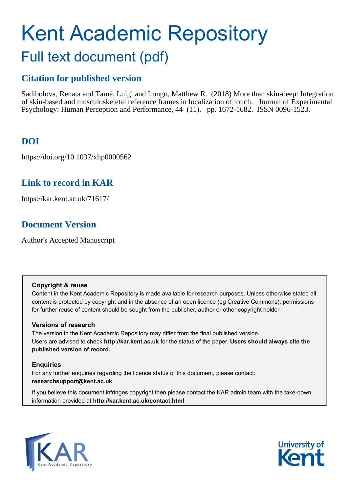# Kent Academic Repository Full text document (pdf)

# **Citation for published version**

Sadibolova, Renata and Tamè, Luigi and Longo, Matthew R. (2018) More than skin-deep: Integration of skin-based and musculoskeletal reference frames in localization of touch. Journal of Experimental Psychology: Human Perception and Performance, 44 (11). pp. 1672-1682. ISSN 0096-1523.

# **DOI**

https://doi.org/10.1037/xhp0000562

# **Link to record in KAR**

https://kar.kent.ac.uk/71617/

# **Document Version**

Author's Accepted Manuscript

# **Copyright & reuse**

Content in the Kent Academic Repository is made available for research purposes. Unless otherwise stated all content is protected by copyright and in the absence of an open licence (eg Creative Commons), permissions for further reuse of content should be sought from the publisher, author or other copyright holder.

# **Versions of research**

The version in the Kent Academic Repository may differ from the final published version. Users are advised to check **http://kar.kent.ac.uk** for the status of the paper. **Users should always cite the published version of record.**

# **Enquiries**

For any further enquiries regarding the licence status of this document, please contact: **researchsupport@kent.ac.uk**

If you believe this document infringes copyright then please contact the KAR admin team with the take-down information provided at **http://kar.kent.ac.uk/contact.html**



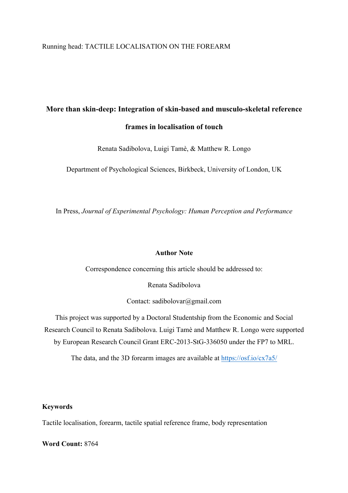# Running head: TACTILE LOCALISATION ON THE FOREARM

# **More than skin-deep: Integration of skin-based and musculo-skeletal reference frames in localisation of touch**

Renata Sadibolova, Luigi Tamè, & Matthew R. Longo

Department of Psychological Sciences, Birkbeck, University of London, UK

In Press, *Journal of Experimental Psychology: Human Perception and Performance*

# **Author Note**

Correspondence concerning this article should be addressed to:

Renata Sadibolova

Contact: sadibolovar@gmail.com

This project was supported by a Doctoral Studentship from the Economic and Social Research Council to Renata Sadibolova. Luigi Tamè and Matthew R. Longo were supported by European Research Council Grant ERC-2013-StG-336050 under the FP7 to MRL.

The data, and the 3D forearm images are available at https://osf.io/cx7a5/

## **Keywords**

Tactile localisation, forearm, tactile spatial reference frame, body representation

**Word Count:** 8764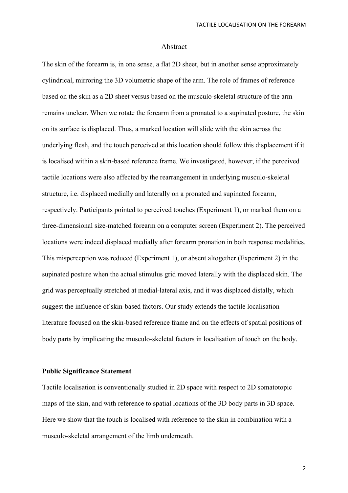### Abstract

The skin of the forearm is, in one sense, a flat 2D sheet, but in another sense approximately cylindrical, mirroring the 3D volumetric shape of the arm. The role of frames of reference based on the skin as a 2D sheet versus based on the musculo-skeletal structure of the arm remains unclear. When we rotate the forearm from a pronated to a supinated posture, the skin on its surface is displaced. Thus, a marked location will slide with the skin across the underlying flesh, and the touch perceived at this location should follow this displacement if it is localised within a skin-based reference frame. We investigated, however, if the perceived tactile locations were also affected by the rearrangement in underlying musculo-skeletal structure, i.e. displaced medially and laterally on a pronated and supinated forearm, respectively. Participants pointed to perceived touches (Experiment 1), or marked them on a three-dimensional size-matched forearm on a computer screen (Experiment 2). The perceived locations were indeed displaced medially after forearm pronation in both response modalities. This misperception was reduced (Experiment 1), or absent altogether (Experiment 2) in the supinated posture when the actual stimulus grid moved laterally with the displaced skin. The grid was perceptually stretched at medial-lateral axis, and it was displaced distally, which suggest the influence of skin-based factors. Our study extends the tactile localisation literature focused on the skin-based reference frame and on the effects of spatial positions of body parts by implicating the musculo-skeletal factors in localisation of touch on the body.

## **Public Significance Statement**

Tactile localisation is conventionally studied in 2D space with respect to 2D somatotopic maps of the skin, and with reference to spatial locations of the 3D body parts in 3D space. Here we show that the touch is localised with reference to the skin in combination with a musculo-skeletal arrangement of the limb underneath.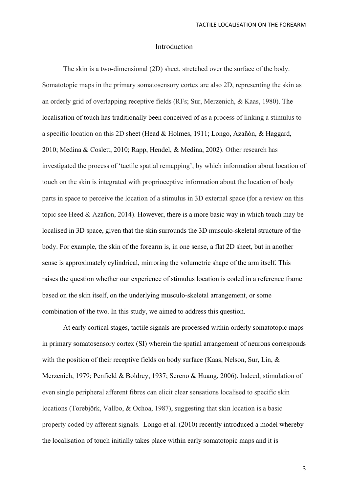## Introduction

The skin is a two-dimensional (2D) sheet, stretched over the surface of the body. Somatotopic maps in the primary somatosensory cortex are also 2D, representing the skin as an orderly grid of overlapping receptive fields (RFs; Sur, Merzenich, & Kaas, 1980). The localisation of touch has traditionally been conceived of as a process of linking a stimulus to a specific location on this 2D sheet (Head & Holmes, 1911; Longo, Azañón, & Haggard, 2010; Medina & Coslett, 2010; Rapp, Hendel, & Medina, 2002). Other research has investigated the process of 'tactile spatial remapping', by which information about location of touch on the skin is integrated with proprioceptive information about the location of body parts in space to perceive the location of a stimulus in 3D external space (for a review on this topic see Heed & Azañón, 2014). However, there is a more basic way in which touch may be localised in 3D space, given that the skin surrounds the 3D musculo-skeletal structure of the body. For example, the skin of the forearm is, in one sense, a flat 2D sheet, but in another sense is approximately cylindrical, mirroring the volumetric shape of the arm itself. This raises the question whether our experience of stimulus location is coded in a reference frame based on the skin itself, on the underlying musculo-skeletal arrangement, or some combination of the two. In this study, we aimed to address this question.

At early cortical stages, tactile signals are processed within orderly somatotopic maps in primary somatosensory cortex (SI) wherein the spatial arrangement of neurons corresponds with the position of their receptive fields on body surface (Kaas, Nelson, Sur, Lin, & Merzenich, 1979; Penfield & Boldrey, 1937; Sereno & Huang, 2006). Indeed, stimulation of even single peripheral afferent fibres can elicit clear sensations localised to specific skin locations (Torebjörk, Vallbo, & Ochoa, 1987), suggesting that skin location is a basic property coded by afferent signals. Longo et al. (2010) recently introduced a model whereby the localisation of touch initially takes place within early somatotopic maps and it is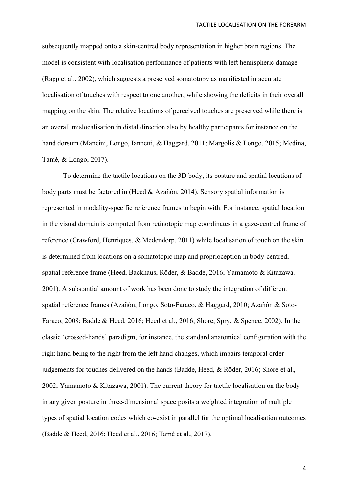subsequently mapped onto a skin-centred body representation in higher brain regions. The model is consistent with localisation performance of patients with left hemispheric damage (Rapp et al., 2002), which suggests a preserved somatotopy as manifested in accurate localisation of touches with respect to one another, while showing the deficits in their overall mapping on the skin. The relative locations of perceived touches are preserved while there is an overall mislocalisation in distal direction also by healthy participants for instance on the hand dorsum (Mancini, Longo, Iannetti, & Haggard, 2011; Margolis & Longo, 2015; Medina, Tamè, & Longo, 2017).

To determine the tactile locations on the 3D body, its posture and spatial locations of body parts must be factored in (Heed & Azañón, 2014). Sensory spatial information is represented in modality-specific reference frames to begin with. For instance, spatial location in the visual domain is computed from retinotopic map coordinates in a gaze-centred frame of reference (Crawford, Henriques, & Medendorp, 2011) while localisation of touch on the skin is determined from locations on a somatotopic map and proprioception in body-centred, spatial reference frame (Heed, Backhaus, Röder, & Badde, 2016; Yamamoto & Kitazawa, 2001). A substantial amount of work has been done to study the integration of different spatial reference frames (Azañón, Longo, Soto-Faraco, & Haggard, 2010; Azañón & Soto-Faraco, 2008; Badde & Heed, 2016; Heed et al., 2016; Shore, Spry, & Spence, 2002). In the classic 'crossed-hands' paradigm, for instance, the standard anatomical configuration with the right hand being to the right from the left hand changes, which impairs temporal order judgements for touches delivered on the hands (Badde, Heed, & Röder, 2016; Shore et al., 2002; Yamamoto & Kitazawa, 2001). The current theory for tactile localisation on the body in any given posture in three-dimensional space posits a weighted integration of multiple types of spatial location codes which co-exist in parallel for the optimal localisation outcomes (Badde & Heed, 2016; Heed et al., 2016; Tamè et al., 2017).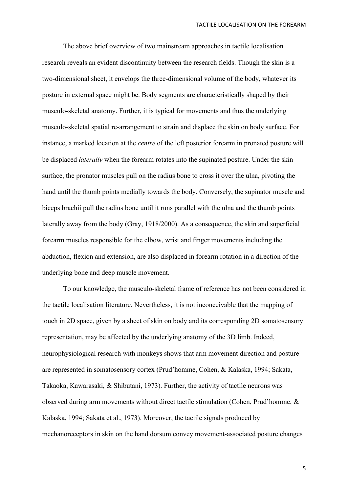The above brief overview of two mainstream approaches in tactile localisation research reveals an evident discontinuity between the research fields. Though the skin is a two-dimensional sheet, it envelops the three-dimensional volume of the body, whatever its posture in external space might be. Body segments are characteristically shaped by their musculo-skeletal anatomy. Further, it is typical for movements and thus the underlying musculo-skeletal spatial re-arrangement to strain and displace the skin on body surface. For instance, a marked location at the *centre* of the left posterior forearm in pronated posture will be displaced *laterally* when the forearm rotates into the supinated posture. Under the skin surface, the pronator muscles pull on the radius bone to cross it over the ulna, pivoting the hand until the thumb points medially towards the body. Conversely, the supinator muscle and biceps brachii pull the radius bone until it runs parallel with the ulna and the thumb points laterally away from the body (Gray, 1918/2000). As a consequence, the skin and superficial forearm muscles responsible for the elbow, wrist and finger movements including the abduction, flexion and extension, are also displaced in forearm rotation in a direction of the underlying bone and deep muscle movement.

To our knowledge, the musculo-skeletal frame of reference has not been considered in the tactile localisation literature. Nevertheless, it is not inconceivable that the mapping of touch in 2D space, given by a sheet of skin on body and its corresponding 2D somatosensory representation, may be affected by the underlying anatomy of the 3D limb. Indeed, neurophysiological research with monkeys shows that arm movement direction and posture are represented in somatosensory cortex (Prud'homme, Cohen, & Kalaska, 1994; Sakata, Takaoka, Kawarasaki, & Shibutani, 1973). Further, the activity of tactile neurons was observed during arm movements without direct tactile stimulation (Cohen, Prud'homme, & Kalaska, 1994; Sakata et al., 1973). Moreover, the tactile signals produced by mechanoreceptors in skin on the hand dorsum convey movement-associated posture changes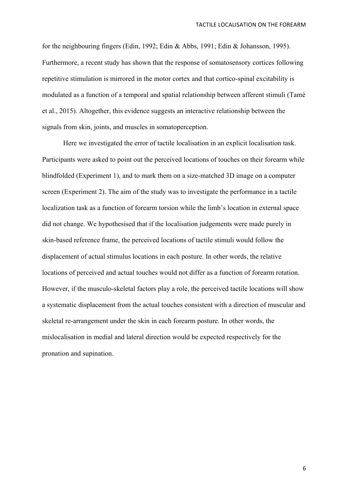for the neighbouring fingers (Edin, 1992; Edin & Abbs, 1991; Edin & Johansson, 1995). Furthermore, a recent study has shown that the response of somatosensory cortices following repetitive stimulation is mirrored in the motor cortex and that cortico-spinal excitability is modulated as a function of a temporal and spatial relationship between afferent stimuli (Tamè et al., 2015). Altogether, this evidence suggests an interactive relationship between the signals from skin, joints, and muscles in somatoperception.

Here we investigated the error of tactile localisation in an explicit localisation task. Participants were asked to point out the perceived locations of touches on their forearm while blindfolded (Experiment 1), and to mark them on a size-matched 3D image on a computer screen (Experiment 2). The aim of the study was to investigate the performance in a tactile localization task as a function of forearm torsion while the limb's location in external space did not change. We hypothesised that if the localisation judgements were made purely in skin-based reference frame, the perceived locations of tactile stimuli would follow the displacement of actual stimulus locations in each posture. In other words, the relative locations of perceived and actual touches would not differ as a function of forearm rotation. However, if the musculo-skeletal factors play a role, the perceived tactile locations will show a systematic displacement from the actual touches consistent with a direction of muscular and skeletal re-arrangement under the skin in each forearm posture. In other words, the mislocalisation in medial and lateral direction would be expected respectively for the pronation and supination.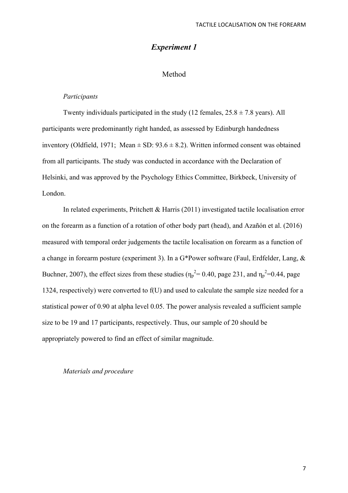# *Experiment 1*

# Method

#### *Participants*

Twenty individuals participated in the study (12 females,  $25.8 \pm 7.8$  years). All participants were predominantly right handed, as assessed by Edinburgh handedness inventory (Oldfield, 1971; Mean  $\pm$  SD: 93.6  $\pm$  8.2). Written informed consent was obtained from all participants. The study was conducted in accordance with the Declaration of Helsinki, and was approved by the Psychology Ethics Committee, Birkbeck, University of London.

In related experiments, Pritchett & Harris (2011) investigated tactile localisation error on the forearm as a function of a rotation of other body part (head), and Azañón et al. (2016) measured with temporal order judgements the tactile localisation on forearm as a function of a change in forearm posture (experiment 3). In a G\*Power software (Faul, Erdfelder, Lang, & Buchner, 2007), the effect sizes from these studies ( $\eta_p^2 = 0.40$ , page 231, and  $\eta_p^2 = 0.44$ , page 1324, respectively) were converted to f(U) and used to calculate the sample size needed for a statistical power of 0.90 at alpha level 0.05. The power analysis revealed a sufficient sample size to be 19 and 17 participants, respectively. Thus, our sample of 20 should be appropriately powered to find an effect of similar magnitude.

### *Materials and procedure*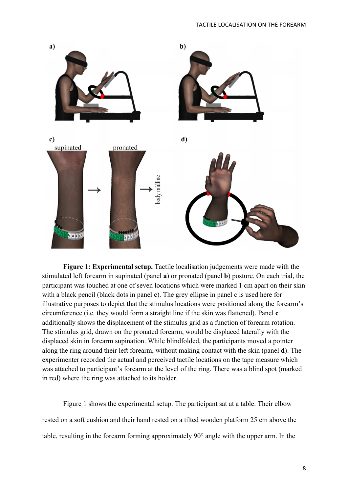

**Figure 1: Experimental setup.** Tactile localisation judgements were made with the stimulated left forearm in supinated (panel **a**) or pronated (panel **b**) posture. On each trial, the participant was touched at one of seven locations which were marked 1 cm apart on their skin with a black pencil (black dots in panel **c**). The grey ellipse in panel c is used here for illustrative purposes to depict that the stimulus locations were positioned along the forearm's circumference (i.e. they would form a straight line if the skin was flattened). Panel **c** additionally shows the displacement of the stimulus grid as a function of forearm rotation. The stimulus grid, drawn on the pronated forearm, would be displaced laterally with the displaced skin in forearm supination. While blindfolded, the participants moved a pointer along the ring around their left forearm, without making contact with the skin (panel **d**). The experimenter recorded the actual and perceived tactile locations on the tape measure which was attached to participant's forearm at the level of the ring. There was a blind spot (marked in red) where the ring was attached to its holder.

Figure 1 shows the experimental setup. The participant sat at a table. Their elbow rested on a soft cushion and their hand rested on a tilted wooden platform 25 cm above the table, resulting in the forearm forming approximately 90° angle with the upper arm. In the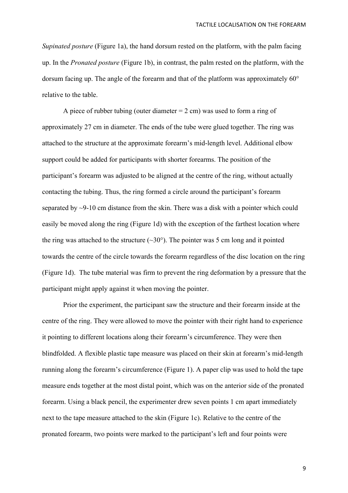*Supinated posture* (Figure 1a), the hand dorsum rested on the platform, with the palm facing up. In the *Pronated posture* (Figure 1b), in contrast, the palm rested on the platform, with the dorsum facing up. The angle of the forearm and that of the platform was approximately 60° relative to the table.

A piece of rubber tubing (outer diameter  $= 2$  cm) was used to form a ring of approximately 27 cm in diameter. The ends of the tube were glued together. The ring was attached to the structure at the approximate forearm's mid-length level. Additional elbow support could be added for participants with shorter forearms. The position of the participant's forearm was adjusted to be aligned at the centre of the ring, without actually contacting the tubing. Thus, the ring formed a circle around the participant's forearm separated by ~9-10 cm distance from the skin. There was a disk with a pointer which could easily be moved along the ring (Figure 1d) with the exception of the farthest location where the ring was attached to the structure  $(\sim 30^{\circ})$ . The pointer was 5 cm long and it pointed towards the centre of the circle towards the forearm regardless of the disc location on the ring (Figure 1d). The tube material was firm to prevent the ring deformation by a pressure that the participant might apply against it when moving the pointer.

Prior the experiment, the participant saw the structure and their forearm inside at the centre of the ring. They were allowed to move the pointer with their right hand to experience it pointing to different locations along their forearm's circumference. They were then blindfolded. A flexible plastic tape measure was placed on their skin at forearm's mid-length running along the forearm's circumference (Figure 1). A paper clip was used to hold the tape measure ends together at the most distal point, which was on the anterior side of the pronated forearm. Using a black pencil, the experimenter drew seven points 1 cm apart immediately next to the tape measure attached to the skin (Figure 1c). Relative to the centre of the pronated forearm, two points were marked to the participant's left and four points were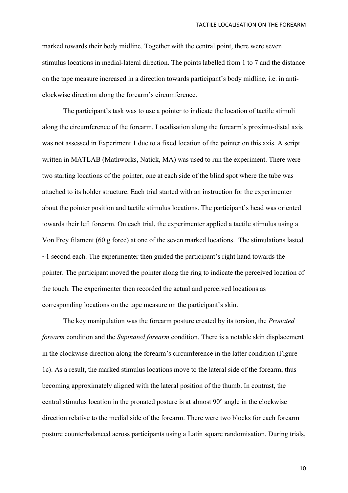marked towards their body midline. Together with the central point, there were seven stimulus locations in medial-lateral direction. The points labelled from 1 to 7 and the distance on the tape measure increased in a direction towards participant's body midline, i.e. in anticlockwise direction along the forearm's circumference.

The participant's task was to use a pointer to indicate the location of tactile stimuli along the circumference of the forearm. Localisation along the forearm's proximo-distal axis was not assessed in Experiment 1 due to a fixed location of the pointer on this axis. A script written in MATLAB (Mathworks, Natick, MA) was used to run the experiment. There were two starting locations of the pointer, one at each side of the blind spot where the tube was attached to its holder structure. Each trial started with an instruction for the experimenter about the pointer position and tactile stimulus locations. The participant's head was oriented towards their left forearm. On each trial, the experimenter applied a tactile stimulus using a Von Frey filament (60 g force) at one of the seven marked locations. The stimulations lasted  $\sim$ 1 second each. The experimenter then guided the participant's right hand towards the pointer. The participant moved the pointer along the ring to indicate the perceived location of the touch. The experimenter then recorded the actual and perceived locations as corresponding locations on the tape measure on the participant's skin.

The key manipulation was the forearm posture created by its torsion, the *Pronated forearm* condition and the *Supinated forearm* condition. There is a notable skin displacement in the clockwise direction along the forearm's circumference in the latter condition (Figure 1c). As a result, the marked stimulus locations move to the lateral side of the forearm, thus becoming approximately aligned with the lateral position of the thumb. In contrast, the central stimulus location in the pronated posture is at almost 90° angle in the clockwise direction relative to the medial side of the forearm. There were two blocks for each forearm posture counterbalanced across participants using a Latin square randomisation. During trials,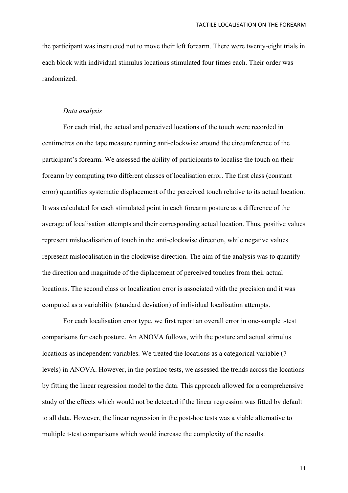the participant was instructed not to move their left forearm. There were twenty-eight trials in each block with individual stimulus locations stimulated four times each. Their order was randomized.

#### *Data analysis*

For each trial, the actual and perceived locations of the touch were recorded in centimetres on the tape measure running anti-clockwise around the circumference of the participant's forearm. We assessed the ability of participants to localise the touch on their forearm by computing two different classes of localisation error. The first class (constant error) quantifies systematic displacement of the perceived touch relative to its actual location. It was calculated for each stimulated point in each forearm posture as a difference of the average of localisation attempts and their corresponding actual location. Thus, positive values represent mislocalisation of touch in the anti-clockwise direction, while negative values represent mislocalisation in the clockwise direction. The aim of the analysis was to quantify the direction and magnitude of the diplacement of perceived touches from their actual locations. The second class or localization error is associated with the precision and it was computed as a variability (standard deviation) of individual localisation attempts.

For each localisation error type, we first report an overall error in one-sample t-test comparisons for each posture. An ANOVA follows, with the posture and actual stimulus locations as independent variables. We treated the locations as a categorical variable (7 levels) in ANOVA. However, in the posthoc tests, we assessed the trends across the locations by fitting the linear regression model to the data. This approach allowed for a comprehensive study of the effects which would not be detected if the linear regression was fitted by default to all data. However, the linear regression in the post-hoc tests was a viable alternative to multiple t-test comparisons which would increase the complexity of the results.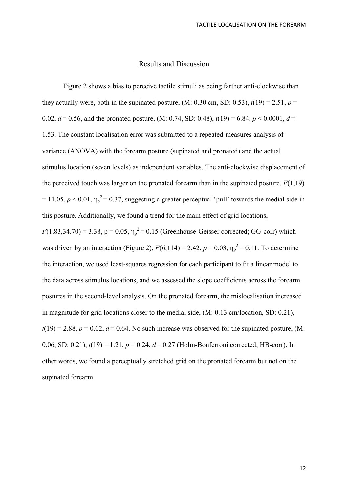## Results and Discussion

Figure 2 shows a bias to perceive tactile stimuli as being farther anti-clockwise than they actually were, both in the supinated posture, (M: 0.30 cm, SD: 0.53),  $t(19) = 2.51$ ,  $p =$ 0.02,  $d = 0.56$ , and the pronated posture, (M: 0.74, SD: 0.48),  $t(19) = 6.84$ ,  $p < 0.0001$ ,  $d =$ 1.53. The constant localisation error was submitted to a repeated-measures analysis of variance (ANOVA) with the forearm posture (supinated and pronated) and the actual stimulus location (seven levels) as independent variables. The anti-clockwise displacement of the perceived touch was larger on the pronated forearm than in the supinated posture,  $F(1,19)$  $= 11.05, p \lt 0.01, \eta_p^2 = 0.37$ , suggesting a greater perceptual 'pull' towards the medial side in this posture. Additionally, we found a trend for the main effect of grid locations,  $F(1.83,34.70) = 3.38$ ,  $p = 0.05$ ,  $\eta_p^2 = 0.15$  (Greenhouse-Geisser corrected; GG-corr) which was driven by an interaction (Figure 2),  $F(6,114) = 2.42$ ,  $p = 0.03$ ,  $\eta_p^2 = 0.11$ . To determine

the interaction, we used least-squares regression for each participant to fit a linear model to the data across stimulus locations, and we assessed the slope coefficients across the forearm postures in the second-level analysis. On the pronated forearm, the mislocalisation increased in magnitude for grid locations closer to the medial side, (M: 0.13 cm/location, SD: 0.21),  $t(19) = 2.88$ ,  $p = 0.02$ ,  $d = 0.64$ . No such increase was observed for the supinated posture, (M: 0.06, SD: 0.21),  $t(19) = 1.21$ ,  $p = 0.24$ ,  $d = 0.27$  (Holm-Bonferroni corrected; HB-corr). In other words, we found a perceptually stretched grid on the pronated forearm but not on the supinated forearm.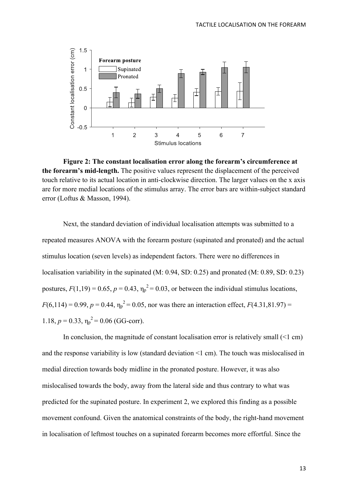

**Figure 2: The constant localisation error along the forearm's circumference at the forearm's mid-length.** The positive values represent the displacement of the perceived touch relative to its actual location in anti-clockwise direction. The larger values on the x axis are for more medial locations of the stimulus array. The error bars are within-subject standard error (Loftus & Masson, 1994).

Next, the standard deviation of individual localisation attempts was submitted to a repeated measures ANOVA with the forearm posture (supinated and pronated) and the actual stimulus location (seven levels) as independent factors. There were no differences in localisation variability in the supinated (M: 0.94, SD: 0.25) and pronated (M: 0.89, SD: 0.23) postures,  $F(1,19) = 0.65$ ,  $p = 0.43$ ,  $\eta_p^2 = 0.03$ , or between the individual stimulus locations,  $F(6,114) = 0.99, p = 0.44, \eta_p^2 = 0.05$ , nor was there an interaction effect,  $F(4.31,81.97) =$ 1.18,  $p = 0.33$ ,  $\eta_p^2 = 0.06$  (GG-corr).

In conclusion, the magnitude of constant localisation error is relatively small  $(1 \text{ cm})$ and the response variability is low (standard deviation <1 cm). The touch was mislocalised in medial direction towards body midline in the pronated posture. However, it was also mislocalised towards the body, away from the lateral side and thus contrary to what was predicted for the supinated posture. In experiment 2, we explored this finding as a possible movement confound. Given the anatomical constraints of the body, the right-hand movement in localisation of leftmost touches on a supinated forearm becomes more effortful. Since the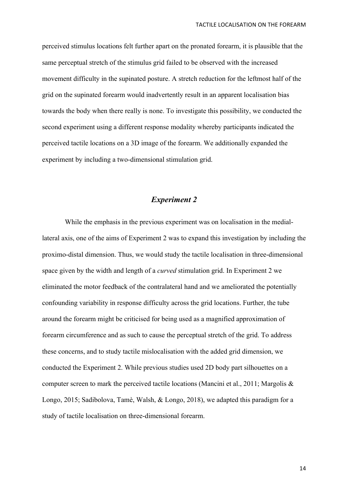perceived stimulus locations felt further apart on the pronated forearm, it is plausible that the same perceptual stretch of the stimulus grid failed to be observed with the increased movement difficulty in the supinated posture. A stretch reduction for the leftmost half of the grid on the supinated forearm would inadvertently result in an apparent localisation bias towards the body when there really is none. To investigate this possibility, we conducted the second experiment using a different response modality whereby participants indicated the perceived tactile locations on a 3D image of the forearm. We additionally expanded the experiment by including a two-dimensional stimulation grid.

# *Experiment 2*

While the emphasis in the previous experiment was on localisation in the mediallateral axis, one of the aims of Experiment 2 was to expand this investigation by including the proximo-distal dimension. Thus, we would study the tactile localisation in three-dimensional space given by the width and length of a *curved* stimulation grid. In Experiment 2 we eliminated the motor feedback of the contralateral hand and we ameliorated the potentially confounding variability in response difficulty across the grid locations. Further, the tube around the forearm might be criticised for being used as a magnified approximation of forearm circumference and as such to cause the perceptual stretch of the grid. To address these concerns, and to study tactile mislocalisation with the added grid dimension, we conducted the Experiment 2. While previous studies used 2D body part silhouettes on a computer screen to mark the perceived tactile locations (Mancini et al., 2011; Margolis & Longo, 2015; Sadibolova, Tamè, Walsh, & Longo, 2018), we adapted this paradigm for a study of tactile localisation on three-dimensional forearm.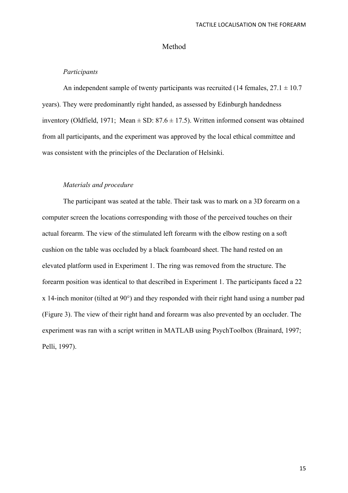#### Method

#### *Participants*

An independent sample of twenty participants was recruited (14 females,  $27.1 \pm 10.7$ ) years). They were predominantly right handed, as assessed by Edinburgh handedness inventory (Oldfield, 1971; Mean  $\pm$  SD: 87.6  $\pm$  17.5). Written informed consent was obtained from all participants, and the experiment was approved by the local ethical committee and was consistent with the principles of the Declaration of Helsinki.

## *Materials and procedure*

The participant was seated at the table. Their task was to mark on a 3D forearm on a computer screen the locations corresponding with those of the perceived touches on their actual forearm. The view of the stimulated left forearm with the elbow resting on a soft cushion on the table was occluded by a black foamboard sheet. The hand rested on an elevated platform used in Experiment 1. The ring was removed from the structure. The forearm position was identical to that described in Experiment 1. The participants faced a 22 x 14-inch monitor (tilted at 90°) and they responded with their right hand using a number pad (Figure 3). The view of their right hand and forearm was also prevented by an occluder. The experiment was ran with a script written in MATLAB using PsychToolbox (Brainard, 1997; Pelli, 1997).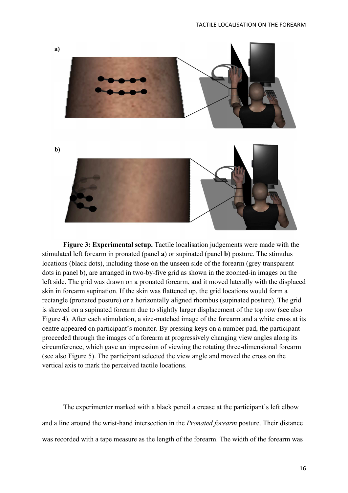

**Figure 3: Experimental setup.** Tactile localisation judgements were made with the stimulated left forearm in pronated (panel **a**) or supinated (panel **b**) posture. The stimulus locations (black dots), including those on the unseen side of the forearm (grey transparent dots in panel b), are arranged in two-by-five grid as shown in the zoomed-in images on the left side. The grid was drawn on a pronated forearm, and it moved laterally with the displaced skin in forearm supination. If the skin was flattened up, the grid locations would form a rectangle (pronated posture) or a horizontally aligned rhombus (supinated posture). The grid is skewed on a supinated forearm due to slightly larger displacement of the top row (see also Figure 4). After each stimulation, a size-matched image of the forearm and a white cross at its centre appeared on participant's monitor. By pressing keys on a number pad, the participant proceeded through the images of a forearm at progressively changing view angles along its circumference, which gave an impression of viewing the rotating three-dimensional forearm (see also Figure 5). The participant selected the view angle and moved the cross on the vertical axis to mark the perceived tactile locations.

The experimenter marked with a black pencil a crease at the participant's left elbow and a line around the wrist-hand intersection in the *Pronated forearm* posture. Their distance was recorded with a tape measure as the length of the forearm. The width of the forearm was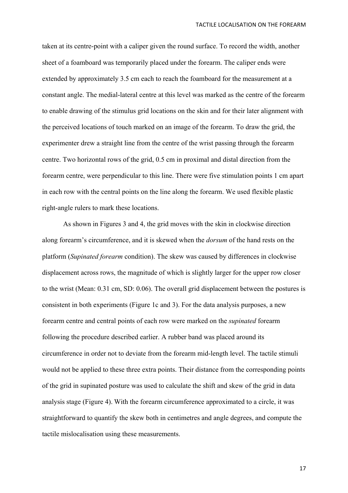taken at its centre-point with a caliper given the round surface. To record the width, another sheet of a foamboard was temporarily placed under the forearm. The caliper ends were extended by approximately 3.5 cm each to reach the foamboard for the measurement at a constant angle. The medial-lateral centre at this level was marked as the centre of the forearm to enable drawing of the stimulus grid locations on the skin and for their later alignment with the perceived locations of touch marked on an image of the forearm. To draw the grid, the experimenter drew a straight line from the centre of the wrist passing through the forearm centre. Two horizontal rows of the grid, 0.5 cm in proximal and distal direction from the forearm centre, were perpendicular to this line. There were five stimulation points 1 cm apart in each row with the central points on the line along the forearm. We used flexible plastic right-angle rulers to mark these locations.

As shown in Figures 3 and 4, the grid moves with the skin in clockwise direction along forearm's circumference, and it is skewed when the *dorsum* of the hand rests on the platform (*Supinated forearm* condition). The skew was caused by differences in clockwise displacement across rows, the magnitude of which is slightly larger for the upper row closer to the wrist (Mean: 0.31 cm, SD: 0.06). The overall grid displacement between the postures is consistent in both experiments (Figure 1c and 3). For the data analysis purposes, a new forearm centre and central points of each row were marked on the *supinated* forearm following the procedure described earlier. A rubber band was placed around its circumference in order not to deviate from the forearm mid-length level. The tactile stimuli would not be applied to these three extra points. Their distance from the corresponding points of the grid in supinated posture was used to calculate the shift and skew of the grid in data analysis stage (Figure 4). With the forearm circumference approximated to a circle, it was straightforward to quantify the skew both in centimetres and angle degrees, and compute the tactile mislocalisation using these measurements.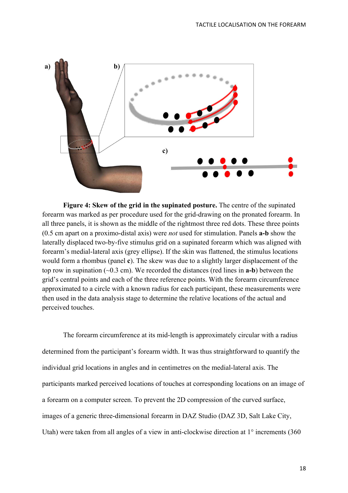

**Figure 4: Skew of the grid in the supinated posture.** The centre of the supinated forearm was marked as per procedure used for the grid-drawing on the pronated forearm. In all three panels, it is shown as the middle of the rightmost three red dots. These three points (0.5 cm apart on a proximo-distal axis) were *not* used for stimulation. Panels **a-b** show the laterally displaced two-by-five stimulus grid on a supinated forearm which was aligned with forearm's medial-lateral axis (grey ellipse). If the skin was flattened, the stimulus locations would form a rhombus (panel **c**). The skew was due to a slightly larger displacement of the top row in supination (~0.3 cm). We recorded the distances (red lines in **a-b**) between the grid's central points and each of the three reference points. With the forearm circumference approximated to a circle with a known radius for each participant, these measurements were then used in the data analysis stage to determine the relative locations of the actual and perceived touches.

The forearm circumference at its mid-length is approximately circular with a radius determined from the participant's forearm width. It was thus straightforward to quantify the individual grid locations in angles and in centimetres on the medial-lateral axis. The participants marked perceived locations of touches at corresponding locations on an image of a forearm on a computer screen. To prevent the 2D compression of the curved surface, images of a generic three-dimensional forearm in DAZ Studio (DAZ 3D, Salt Lake City, Utah) were taken from all angles of a view in anti-clockwise direction at 1° increments (360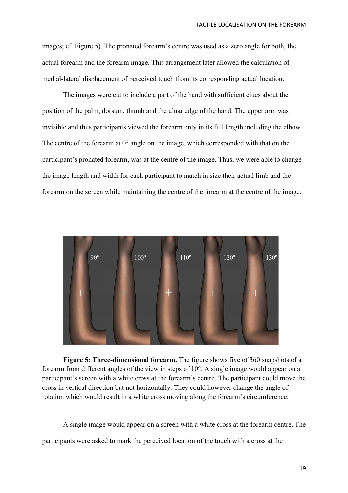images; cf. Figure 5). The pronated forearm's centre was used as a zero angle for both, the actual forearm and the forearm image. This arrangement later allowed the calculation of medial-lateral displacement of perceived touch from its corresponding actual location.

The images were cut to include a part of the hand with sufficient clues about the position of the palm, dorsum, thumb and the ulnar edge of the hand. The upper arm was invisible and thus participants viewed the forearm only in its full length including the elbow. The centre of the forearm at 0° angle on the image, which corresponded with that on the participant's pronated forearm, was at the centre of the image. Thus, we were able to change the image length and width for each participant to match in size their actual limb and the forearm on the screen while maintaining the centre of the forearm at the centre of the image.



**Figure 5: Three-dimensional forearm.** The figure shows five of 360 snapshots of a forearm from different angles of the view in steps of 10°. A single image would appear on a participant's screen with a white cross at the forearm's centre. The participant could move the cross in vertical direction but not horizontally. They could however change the angle of rotation which would result in a white cross moving along the forearm's circumference.

A single image would appear on a screen with a white cross at the forearm centre. The participants were asked to mark the perceived location of the touch with a cross at the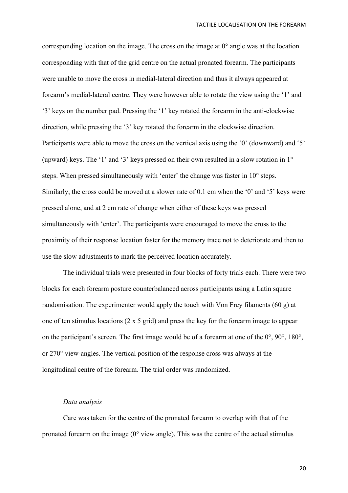corresponding location on the image. The cross on the image at 0° angle was at the location corresponding with that of the grid centre on the actual pronated forearm. The participants were unable to move the cross in medial-lateral direction and thus it always appeared at forearm's medial-lateral centre. They were however able to rotate the view using the '1' and '3' keys on the number pad. Pressing the '1' key rotated the forearm in the anti-clockwise direction, while pressing the '3' key rotated the forearm in the clockwise direction. Participants were able to move the cross on the vertical axis using the '0' (downward) and '5' (upward) keys. The '1' and '3' keys pressed on their own resulted in a slow rotation in 1° steps. When pressed simultaneously with 'enter' the change was faster in 10° steps. Similarly, the cross could be moved at a slower rate of 0.1 cm when the '0' and '5' keys were pressed alone, and at 2 cm rate of change when either of these keys was pressed simultaneously with 'enter'. The participants were encouraged to move the cross to the proximity of their response location faster for the memory trace not to deteriorate and then to use the slow adjustments to mark the perceived location accurately.

The individual trials were presented in four blocks of forty trials each. There were two blocks for each forearm posture counterbalanced across participants using a Latin square randomisation. The experimenter would apply the touch with Von Frey filaments (60 g) at one of ten stimulus locations (2 x 5 grid) and press the key for the forearm image to appear on the participant's screen. The first image would be of a forearm at one of the 0°, 90°, 180°, or 270° view-angles. The vertical position of the response cross was always at the longitudinal centre of the forearm. The trial order was randomized.

# *Data analysis*

Care was taken for the centre of the pronated forearm to overlap with that of the pronated forearm on the image  $(0^{\circ}$  view angle). This was the centre of the actual stimulus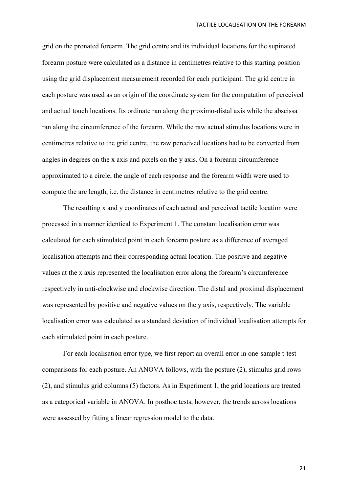grid on the pronated forearm. The grid centre and its individual locations for the supinated forearm posture were calculated as a distance in centimetres relative to this starting position using the grid displacement measurement recorded for each participant. The grid centre in each posture was used as an origin of the coordinate system for the computation of perceived and actual touch locations. Its ordinate ran along the proximo-distal axis while the abscissa ran along the circumference of the forearm. While the raw actual stimulus locations were in centimetres relative to the grid centre, the raw perceived locations had to be converted from angles in degrees on the x axis and pixels on the y axis. On a forearm circumference approximated to a circle, the angle of each response and the forearm width were used to compute the arc length, i.e. the distance in centimetres relative to the grid centre.

The resulting x and y coordinates of each actual and perceived tactile location were processed in a manner identical to Experiment 1. The constant localisation error was calculated for each stimulated point in each forearm posture as a difference of averaged localisation attempts and their corresponding actual location. The positive and negative values at the x axis represented the localisation error along the forearm's circumference respectively in anti-clockwise and clockwise direction. The distal and proximal displacement was represented by positive and negative values on the y axis, respectively. The variable localisation error was calculated as a standard deviation of individual localisation attempts for each stimulated point in each posture.

For each localisation error type, we first report an overall error in one-sample t-test comparisons for each posture. An ANOVA follows, with the posture (2), stimulus grid rows (2), and stimulus grid columns (5) factors. As in Experiment 1, the grid locations are treated as a categorical variable in ANOVA. In posthoc tests, however, the trends across locations were assessed by fitting a linear regression model to the data.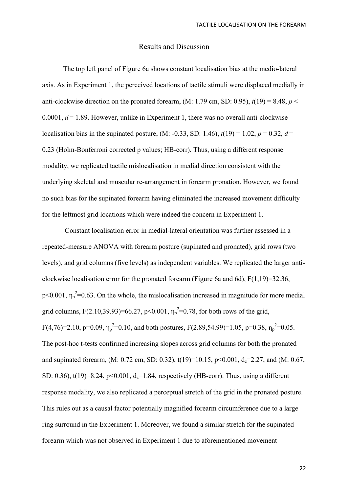## Results and Discussion

The top left panel of Figure 6a shows constant localisation bias at the medio-lateral axis. As in Experiment 1, the perceived locations of tactile stimuli were displaced medially in anti-clockwise direction on the pronated forearm,  $(M: 1.79 \text{ cm}, SD: 0.95)$ ,  $t(19) = 8.48$ ,  $p <$ 0.0001,  $d = 1.89$ . However, unlike in Experiment 1, there was no overall anti-clockwise localisation bias in the supinated posture, (M: -0.33, SD: 1.46),  $t(19) = 1.02$ ,  $p = 0.32$ ,  $d =$ 0.23 (Holm-Bonferroni corrected p values; HB-corr). Thus, using a different response modality, we replicated tactile mislocalisation in medial direction consistent with the underlying skeletal and muscular re-arrangement in forearm pronation. However, we found no such bias for the supinated forearm having eliminated the increased movement difficulty for the leftmost grid locations which were indeed the concern in Experiment 1.

Constant localisation error in medial-lateral orientation was further assessed in a repeated-measure ANOVA with forearm posture (supinated and pronated), grid rows (two levels), and grid columns (five levels) as independent variables. We replicated the larger anticlockwise localisation error for the pronated forearm (Figure 6a and 6d),  $F(1.19)=32.36$ ,  $p<0.001$ ,  $\eta_p^2=0.63$ . On the whole, the mislocalisation increased in magnitude for more medial grid columns, F(2.10,39.93)=66.27, p<0.001,  $\eta_p^2$ =0.78, for both rows of the grid, F(4,76)=2.10, p=0.09,  $\eta_p^2$ =0.10, and both postures, F(2.89,54.99)=1.05, p=0.38,  $\eta_p^2$ =0.05. The post-hoc t-tests confirmed increasing slopes across grid columns for both the pronated and supinated forearm, (M: 0.72 cm, SD: 0.32),  $t(19)=10.15$ ,  $p<0.001$ ,  $d<sub>z</sub>=2.27$ , and (M: 0.67, SD: 0.36), t(19)=8.24,  $p<0.001$ ,  $d<sub>z</sub>=1.84$ , respectively (HB-corr). Thus, using a different response modality, we also replicated a perceptual stretch of the grid in the pronated posture. This rules out as a causal factor potentially magnified forearm circumference due to a large ring surround in the Experiment 1. Moreover, we found a similar stretch for the supinated forearm which was not observed in Experiment 1 due to aforementioned movement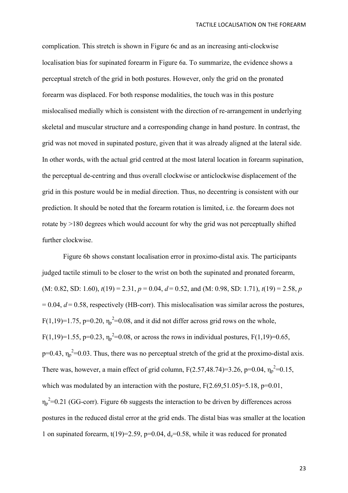complication. This stretch is shown in Figure 6c and as an increasing anti-clockwise localisation bias for supinated forearm in Figure 6a. To summarize, the evidence shows a perceptual stretch of the grid in both postures. However, only the grid on the pronated forearm was displaced. For both response modalities, the touch was in this posture mislocalised medially which is consistent with the direction of re-arrangement in underlying skeletal and muscular structure and a corresponding change in hand posture. In contrast, the grid was not moved in supinated posture, given that it was already aligned at the lateral side. In other words, with the actual grid centred at the most lateral location in forearm supination, the perceptual de-centring and thus overall clockwise or anticlockwise displacement of the grid in this posture would be in medial direction. Thus, no decentring is consistent with our prediction. It should be noted that the forearm rotation is limited, i.e. the forearm does not rotate by >180 degrees which would account for why the grid was not perceptually shifted further clockwise.

Figure 6b shows constant localisation error in proximo-distal axis. The participants judged tactile stimuli to be closer to the wrist on both the supinated and pronated forearm,  $(M: 0.82, SD: 1.60)$ ,  $t(19) = 2.31$ ,  $p = 0.04$ ,  $d = 0.52$ , and  $(M: 0.98, SD: 1.71)$ ,  $t(19) = 2.58$ , *p*  $= 0.04$ ,  $d = 0.58$ , respectively (HB-corr). This mislocalisation was similar across the postures,  $F(1,19)=1.75$ ,  $p=0.20$ ,  $\eta_p^2=0.08$ , and it did not differ across grid rows on the whole, F(1,19)=1.55, p=0.23,  $\eta_p^2$ =0.08, or across the rows in individual postures, F(1,19)=0.65,  $p=0.43$ ,  $\eta_p^2=0.03$ . Thus, there was no perceptual stretch of the grid at the proximo-distal axis. There was, however, a main effect of grid column,  $F(2.57, 48.74)=3.26$ ,  $p=0.04$ ,  $\eta_p^2=0.15$ , which was modulated by an interaction with the posture,  $F(2.69,51.05)=5.18$ ,  $p=0.01$ ,  $\eta_p^2$ =0.21 (GG-corr). Figure 6b suggests the interaction to be driven by differences across postures in the reduced distal error at the grid ends. The distal bias was smaller at the location 1 on supinated forearm,  $t(19)=2.59$ ,  $p=0.04$ ,  $d<sub>z</sub>=0.58$ , while it was reduced for pronated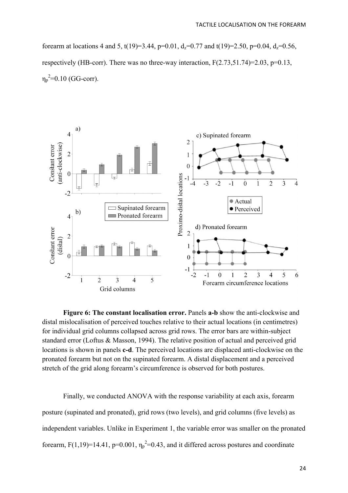forearm at locations 4 and 5, t(19)=3.44, p=0.01,  $d_z$ =0.77 and t(19)=2.50, p=0.04,  $d_z$ =0.56, respectively (HB-corr). There was no three-way interaction,  $F(2.73,51.74)=2.03$ ,  $p=0.13$ ,  $\eta_p^2$ =0.10 (GG-corr).



**Figure 6: The constant localisation error.** Panels **a-b** show the anti-clockwise and distal mislocalisation of perceived touches relative to their actual locations (in centimetres) for individual grid columns collapsed across grid rows. The error bars are within-subject standard error (Loftus & Masson, 1994). The relative position of actual and perceived grid locations is shown in panels **c-d**. The perceived locations are displaced anti-clockwise on the pronated forearm but not on the supinated forearm. A distal displacement and a perceived stretch of the grid along forearm's circumference is observed for both postures.

Finally, we conducted ANOVA with the response variability at each axis, forearm posture (supinated and pronated), grid rows (two levels), and grid columns (five levels) as independent variables. Unlike in Experiment 1, the variable error was smaller on the pronated forearm,  $F(1,19)=14.41$ ,  $p=0.001$ ,  $\eta_p^2=0.43$ , and it differed across postures and coordinate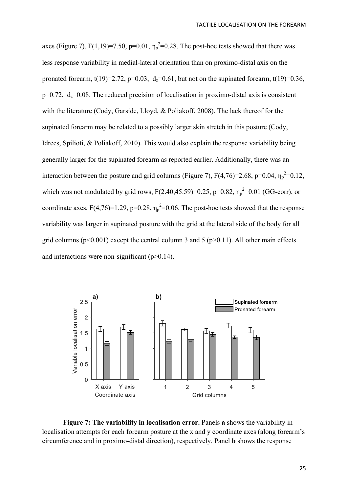axes (Figure 7),  $F(1,19)=7.50$ ,  $p=0.01$ ,  $\eta_p^2=0.28$ . The post-hoc tests showed that there was less response variability in medial-lateral orientation than on proximo-distal axis on the pronated forearm, t(19)=2.72, p=0.03,  $d_z$ =0.61, but not on the supinated forearm, t(19)=0.36,  $p=0.72$ ,  $d_z=0.08$ . The reduced precision of localisation in proximo-distal axis is consistent with the literature (Cody, Garside, Lloyd, & Poliakoff, 2008). The lack thereof for the supinated forearm may be related to a possibly larger skin stretch in this posture (Cody, Idrees, Spilioti, & Poliakoff, 2010). This would also explain the response variability being generally larger for the supinated forearm as reported earlier. Additionally, there was an interaction between the posture and grid columns (Figure 7),  $F(4,76)=2.68$ ,  $p=0.04$ ,  $\eta_p^2=0.12$ , which was not modulated by grid rows,  $F(2.40, 45.59)=0.25$ ,  $p=0.82$ ,  $\eta_p^2=0.01$  (GG-corr), or coordinate axes,  $F(4,76)=1.29$ ,  $p=0.28$ ,  $\eta_p^2=0.06$ . The post-hoc tests showed that the response variability was larger in supinated posture with the grid at the lateral side of the body for all grid columns ( $p<0.001$ ) except the central column 3 and 5 ( $p>0.11$ ). All other main effects and interactions were non-significant  $(p>0.14)$ .



**Figure 7: The variability in localisation error.** Panels **a** shows the variability in localisation attempts for each forearm posture at the x and y coordinate axes (along forearm's circumference and in proximo-distal direction), respectively. Panel **b** shows the response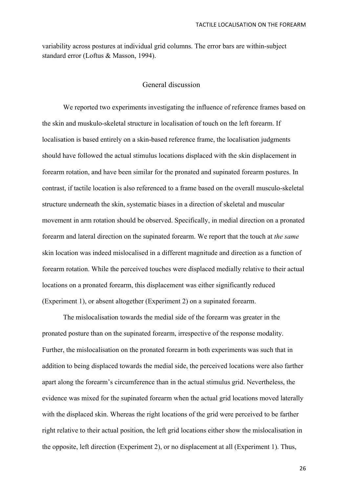variability across postures at individual grid columns. The error bars are within-subject standard error (Loftus & Masson, 1994).

# General discussion

We reported two experiments investigating the influence of reference frames based on the skin and muskulo-skeletal structure in localisation of touch on the left forearm. If localisation is based entirely on a skin-based reference frame, the localisation judgments should have followed the actual stimulus locations displaced with the skin displacement in forearm rotation, and have been similar for the pronated and supinated forearm postures. In contrast, if tactile location is also referenced to a frame based on the overall musculo-skeletal structure underneath the skin, systematic biases in a direction of skeletal and muscular movement in arm rotation should be observed. Specifically, in medial direction on a pronated forearm and lateral direction on the supinated forearm. We report that the touch at *the same* skin location was indeed mislocalised in a different magnitude and direction as a function of forearm rotation. While the perceived touches were displaced medially relative to their actual locations on a pronated forearm, this displacement was either significantly reduced (Experiment 1), or absent altogether (Experiment 2) on a supinated forearm.

The mislocalisation towards the medial side of the forearm was greater in the pronated posture than on the supinated forearm, irrespective of the response modality. Further, the mislocalisation on the pronated forearm in both experiments was such that in addition to being displaced towards the medial side, the perceived locations were also farther apart along the forearm's circumference than in the actual stimulus grid. Nevertheless, the evidence was mixed for the supinated forearm when the actual grid locations moved laterally with the displaced skin. Whereas the right locations of the grid were perceived to be farther right relative to their actual position, the left grid locations either show the mislocalisation in the opposite, left direction (Experiment 2), or no displacement at all (Experiment 1). Thus,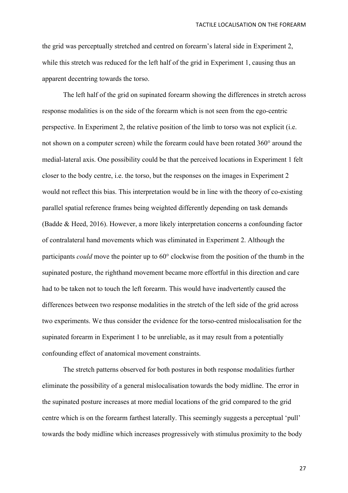the grid was perceptually stretched and centred on forearm's lateral side in Experiment 2, while this stretch was reduced for the left half of the grid in Experiment 1, causing thus an apparent decentring towards the torso.

The left half of the grid on supinated forearm showing the differences in stretch across response modalities is on the side of the forearm which is not seen from the ego-centric perspective. In Experiment 2, the relative position of the limb to torso was not explicit (i.e. not shown on a computer screen) while the forearm could have been rotated 360° around the medial-lateral axis. One possibility could be that the perceived locations in Experiment 1 felt closer to the body centre, i.e. the torso, but the responses on the images in Experiment 2 would not reflect this bias. This interpretation would be in line with the theory of co-existing parallel spatial reference frames being weighted differently depending on task demands (Badde & Heed, 2016). However, a more likely interpretation concerns a confounding factor of contralateral hand movements which was eliminated in Experiment 2. Although the participants *could* move the pointer up to 60° clockwise from the position of the thumb in the supinated posture, the righthand movement became more effortful in this direction and care had to be taken not to touch the left forearm. This would have inadvertently caused the differences between two response modalities in the stretch of the left side of the grid across two experiments. We thus consider the evidence for the torso-centred mislocalisation for the supinated forearm in Experiment 1 to be unreliable, as it may result from a potentially confounding effect of anatomical movement constraints.

The stretch patterns observed for both postures in both response modalities further eliminate the possibility of a general mislocalisation towards the body midline. The error in the supinated posture increases at more medial locations of the grid compared to the grid centre which is on the forearm farthest laterally. This seemingly suggests a perceptual 'pull' towards the body midline which increases progressively with stimulus proximity to the body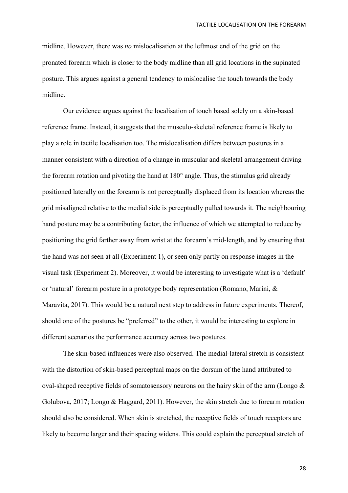midline. However, there was *no* mislocalisation at the leftmost end of the grid on the pronated forearm which is closer to the body midline than all grid locations in the supinated posture. This argues against a general tendency to mislocalise the touch towards the body midline.

Our evidence argues against the localisation of touch based solely on a skin-based reference frame. Instead, it suggests that the musculo-skeletal reference frame is likely to play a role in tactile localisation too. The mislocalisation differs between postures in a manner consistent with a direction of a change in muscular and skeletal arrangement driving the forearm rotation and pivoting the hand at 180° angle. Thus, the stimulus grid already positioned laterally on the forearm is not perceptually displaced from its location whereas the grid misaligned relative to the medial side is perceptually pulled towards it. The neighbouring hand posture may be a contributing factor, the influence of which we attempted to reduce by positioning the grid farther away from wrist at the forearm's mid-length, and by ensuring that the hand was not seen at all (Experiment 1), or seen only partly on response images in the visual task (Experiment 2). Moreover, it would be interesting to investigate what is a 'default' or 'natural' forearm posture in a prototype body representation (Romano, Marini, & Maravita, 2017). This would be a natural next step to address in future experiments. Thereof, should one of the postures be "preferred" to the other, it would be interesting to explore in different scenarios the performance accuracy across two postures.

The skin-based influences were also observed. The medial-lateral stretch is consistent with the distortion of skin-based perceptual maps on the dorsum of the hand attributed to oval-shaped receptive fields of somatosensory neurons on the hairy skin of the arm (Longo  $\&$ Golubova, 2017; Longo & Haggard, 2011). However, the skin stretch due to forearm rotation should also be considered. When skin is stretched, the receptive fields of touch receptors are likely to become larger and their spacing widens. This could explain the perceptual stretch of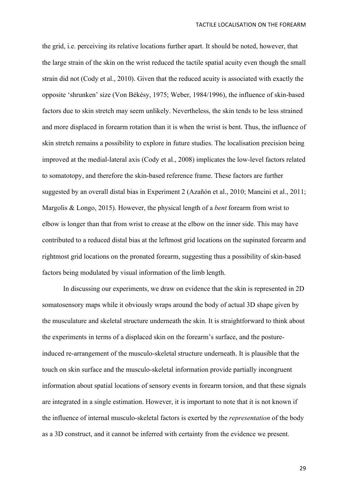the grid, i.e. perceiving its relative locations further apart. It should be noted, however, that the large strain of the skin on the wrist reduced the tactile spatial acuity even though the small strain did not (Cody et al., 2010). Given that the reduced acuity is associated with exactly the opposite 'shrunken' size (Von Békésy, 1975; Weber, 1984/1996), the influence of skin-based factors due to skin stretch may seem unlikely. Nevertheless, the skin tends to be less strained and more displaced in forearm rotation than it is when the wrist is bent. Thus, the influence of skin stretch remains a possibility to explore in future studies. The localisation precision being improved at the medial-lateral axis (Cody et al., 2008) implicates the low-level factors related to somatotopy, and therefore the skin-based reference frame. These factors are further suggested by an overall distal bias in Experiment 2 (Azañón et al., 2010; Mancini et al., 2011; Margolis & Longo, 2015). However, the physical length of a *bent* forearm from wrist to elbow is longer than that from wrist to crease at the elbow on the inner side. This may have contributed to a reduced distal bias at the leftmost grid locations on the supinated forearm and rightmost grid locations on the pronated forearm, suggesting thus a possibility of skin-based factors being modulated by visual information of the limb length.

In discussing our experiments, we draw on evidence that the skin is represented in 2D somatosensory maps while it obviously wraps around the body of actual 3D shape given by the musculature and skeletal structure underneath the skin. It is straightforward to think about the experiments in terms of a displaced skin on the forearm's surface, and the postureinduced re-arrangement of the musculo-skeletal structure underneath. It is plausible that the touch on skin surface and the musculo-skeletal information provide partially incongruent information about spatial locations of sensory events in forearm torsion, and that these signals are integrated in a single estimation. However, it is important to note that it is not known if the influence of internal musculo-skeletal factors is exerted by the *representation* of the body as a 3D construct, and it cannot be inferred with certainty from the evidence we present.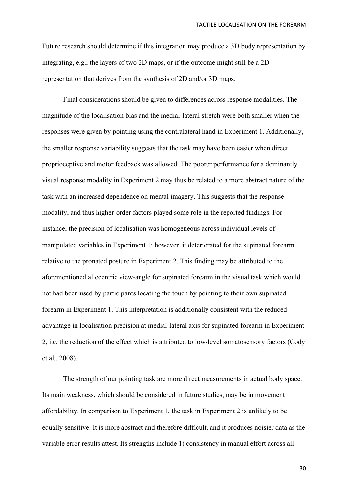Future research should determine if this integration may produce a 3D body representation by integrating, e.g., the layers of two 2D maps, or if the outcome might still be a 2D representation that derives from the synthesis of 2D and/or 3D maps.

Final considerations should be given to differences across response modalities. The magnitude of the localisation bias and the medial-lateral stretch were both smaller when the responses were given by pointing using the contralateral hand in Experiment 1. Additionally, the smaller response variability suggests that the task may have been easier when direct proprioceptive and motor feedback was allowed. The poorer performance for a dominantly visual response modality in Experiment 2 may thus be related to a more abstract nature of the task with an increased dependence on mental imagery. This suggests that the response modality, and thus higher-order factors played some role in the reported findings. For instance, the precision of localisation was homogeneous across individual levels of manipulated variables in Experiment 1; however, it deteriorated for the supinated forearm relative to the pronated posture in Experiment 2. This finding may be attributed to the aforementioned allocentric view-angle for supinated forearm in the visual task which would not had been used by participants locating the touch by pointing to their own supinated forearm in Experiment 1. This interpretation is additionally consistent with the reduced advantage in localisation precision at medial-lateral axis for supinated forearm in Experiment 2, i.e. the reduction of the effect which is attributed to low-level somatosensory factors (Cody et al., 2008).

The strength of our pointing task are more direct measurements in actual body space. Its main weakness, which should be considered in future studies, may be in movement affordability. In comparison to Experiment 1, the task in Experiment 2 is unlikely to be equally sensitive. It is more abstract and therefore difficult, and it produces noisier data as the variable error results attest. Its strengths include 1) consistency in manual effort across all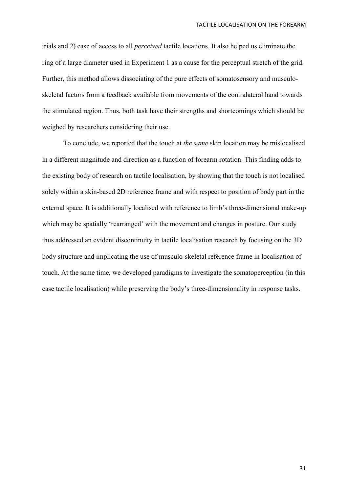trials and 2) ease of access to all *perceived* tactile locations. It also helped us eliminate the ring of a large diameter used in Experiment 1 as a cause for the perceptual stretch of the grid. Further, this method allows dissociating of the pure effects of somatosensory and musculoskeletal factors from a feedback available from movements of the contralateral hand towards the stimulated region. Thus, both task have their strengths and shortcomings which should be weighed by researchers considering their use.

To conclude, we reported that the touch at *the same* skin location may be mislocalised in a different magnitude and direction as a function of forearm rotation. This finding adds to the existing body of research on tactile localisation, by showing that the touch is not localised solely within a skin-based 2D reference frame and with respect to position of body part in the external space. It is additionally localised with reference to limb's three-dimensional make-up which may be spatially 'rearranged' with the movement and changes in posture. Our study thus addressed an evident discontinuity in tactile localisation research by focusing on the 3D body structure and implicating the use of musculo-skeletal reference frame in localisation of touch. At the same time, we developed paradigms to investigate the somatoperception (in this case tactile localisation) while preserving the body's three-dimensionality in response tasks.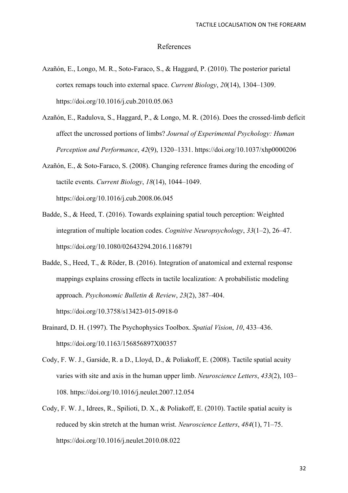#### References

- Azañón, E., Longo, M. R., Soto-Faraco, S., & Haggard, P. (2010). The posterior parietal cortex remaps touch into external space. *Current Biology*, *20*(14), 1304–1309. https://doi.org/10.1016/j.cub.2010.05.063
- Azañón, E., Radulova, S., Haggard, P., & Longo, M. R. (2016). Does the crossed-limb deficit affect the uncrossed portions of limbs? *Journal of Experimental Psychology: Human Perception and Performance*, *42*(9), 1320–1331. https://doi.org/10.1037/xhp0000206
- Azañón, E., & Soto-Faraco, S. (2008). Changing reference frames during the encoding of tactile events. *Current Biology*, *18*(14), 1044–1049. https://doi.org/10.1016/j.cub.2008.06.045
- Badde, S., & Heed, T. (2016). Towards explaining spatial touch perception: Weighted integration of multiple location codes. *Cognitive Neuropsychology*, *33*(1–2), 26–47. https://doi.org/10.1080/02643294.2016.1168791
- Badde, S., Heed, T., & Röder, B. (2016). Integration of anatomical and external response mappings explains crossing effects in tactile localization: A probabilistic modeling approach. *Psychonomic Bulletin & Review*, *23*(2), 387–404. https://doi.org/10.3758/s13423-015-0918-0
- Brainard, D. H. (1997). The Psychophysics Toolbox. *Spatial Vision*, *10*, 433–436. https://doi.org/10.1163/156856897X00357
- Cody, F. W. J., Garside, R. a D., Lloyd, D., & Poliakoff, E. (2008). Tactile spatial acuity varies with site and axis in the human upper limb. *Neuroscience Letters*, *433*(2), 103– 108. https://doi.org/10.1016/j.neulet.2007.12.054
- Cody, F. W. J., Idrees, R., Spilioti, D. X., & Poliakoff, E. (2010). Tactile spatial acuity is reduced by skin stretch at the human wrist. *Neuroscience Letters*, *484*(1), 71–75. https://doi.org/10.1016/j.neulet.2010.08.022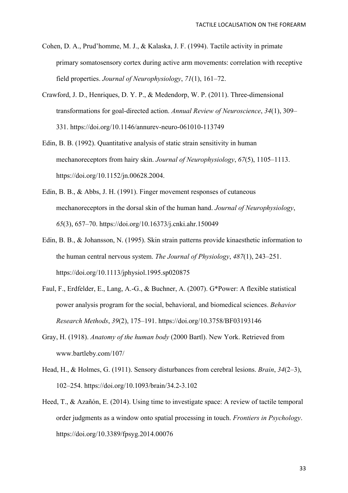- Cohen, D. A., Prud'homme, M. J., & Kalaska, J. F. (1994). Tactile activity in primate primary somatosensory cortex during active arm movements: correlation with receptive field properties. *Journal of Neurophysiology*, *71*(1), 161–72.
- Crawford, J. D., Henriques, D. Y. P., & Medendorp, W. P. (2011). Three-dimensional transformations for goal-directed action. *Annual Review of Neuroscience*, *34*(1), 309– 331. https://doi.org/10.1146/annurev-neuro-061010-113749
- Edin, B. B. (1992). Quantitative analysis of static strain sensitivity in human mechanoreceptors from hairy skin. *Journal of Neurophysiology*, *67*(5), 1105–1113. https://doi.org/10.1152/jn.00628.2004.
- Edin, B. B., & Abbs, J. H. (1991). Finger movement responses of cutaneous mechanoreceptors in the dorsal skin of the human hand. *Journal of Neurophysiology*, *65*(3), 657–70. https://doi.org/10.16373/j.cnki.ahr.150049
- Edin, B. B., & Johansson, N. (1995). Skin strain patterns provide kinaesthetic information to the human central nervous system. *The Journal of Physiology*, *487*(1), 243–251. https://doi.org/10.1113/jphysiol.1995.sp020875
- Faul, F., Erdfelder, E., Lang, A.-G., & Buchner, A. (2007). G\*Power: A flexible statistical power analysis program for the social, behavioral, and biomedical sciences. *Behavior Research Methods*, *39*(2), 175–191. https://doi.org/10.3758/BF03193146
- Gray, H. (1918). *Anatomy of the human body* (2000 Bartl). New York. Retrieved from www.bartleby.com/107/
- Head, H., & Holmes, G. (1911). Sensory disturbances from cerebral lesions. *Brain*, *34*(2–3), 102–254. https://doi.org/10.1093/brain/34.2-3.102
- Heed, T., & Azañón, E. (2014). Using time to investigate space: A review of tactile temporal order judgments as a window onto spatial processing in touch. *Frontiers in Psychology*. https://doi.org/10.3389/fpsyg.2014.00076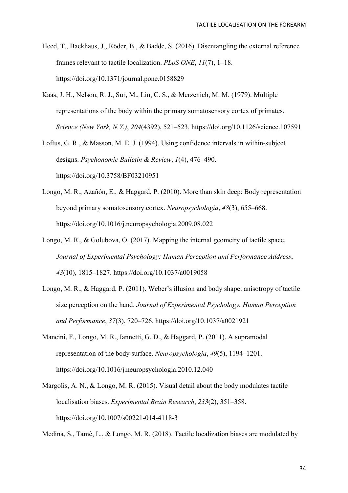- Heed, T., Backhaus, J., Röder, B., & Badde, S. (2016). Disentangling the external reference frames relevant to tactile localization. *PLoS ONE*, *11*(7), 1–18. https://doi.org/10.1371/journal.pone.0158829
- Kaas, J. H., Nelson, R. J., Sur, M., Lin, C. S., & Merzenich, M. M. (1979). Multiple representations of the body within the primary somatosensory cortex of primates. *Science (New York, N.Y.)*, *204*(4392), 521–523. https://doi.org/10.1126/science.107591
- Loftus, G. R., & Masson, M. E. J. (1994). Using confidence intervals in within-subject designs. *Psychonomic Bulletin & Review*, *1*(4), 476–490. https://doi.org/10.3758/BF03210951
- Longo, M. R., Azañón, E., & Haggard, P. (2010). More than skin deep: Body representation beyond primary somatosensory cortex. *Neuropsychologia*, *48*(3), 655–668. https://doi.org/10.1016/j.neuropsychologia.2009.08.022
- Longo, M. R., & Golubova, O. (2017). Mapping the internal geometry of tactile space. *Journal of Experimental Psychology: Human Perception and Performance Address*, *43*(10), 1815–1827. https://doi.org/10.1037/a0019058
- Longo, M. R., & Haggard, P. (2011). Weber's illusion and body shape: anisotropy of tactile size perception on the hand. *Journal of Experimental Psychology. Human Perception and Performance*, *37*(3), 720–726. https://doi.org/10.1037/a0021921
- Mancini, F., Longo, M. R., Iannetti, G. D., & Haggard, P. (2011). A supramodal representation of the body surface. *Neuropsychologia*, *49*(5), 1194–1201. https://doi.org/10.1016/j.neuropsychologia.2010.12.040
- Margolis, A. N., & Longo, M. R. (2015). Visual detail about the body modulates tactile localisation biases. *Experimental Brain Research*, *233*(2), 351–358. https://doi.org/10.1007/s00221-014-4118-3

Medina, S., Tamè, L., & Longo, M. R. (2018). Tactile localization biases are modulated by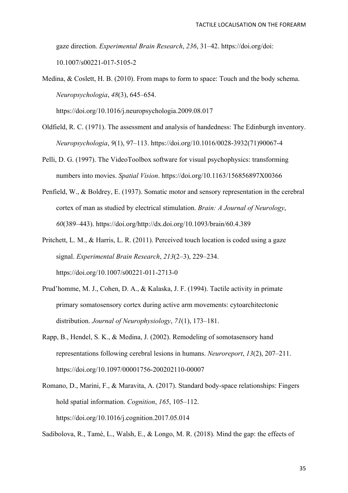gaze direction. *Experimental Brain Research*, *236*, 31–42. https://doi.org/doi: 10.1007/s00221-017-5105-2

Medina, & Coslett, H. B. (2010). From maps to form to space: Touch and the body schema. *Neuropsychologia*, *48*(3), 645–654.

https://doi.org/10.1016/j.neuropsychologia.2009.08.017

- Oldfield, R. C. (1971). The assessment and analysis of handedness: The Edinburgh inventory. *Neuropsychologia*, *9*(1), 97–113. https://doi.org/10.1016/0028-3932(71)90067-4
- Pelli, D. G. (1997). The VideoToolbox software for visual psychophysics: transforming numbers into movies. *Spatial Vision*. https://doi.org/10.1163/156856897X00366
- Penfield, W., & Boldrey, E. (1937). Somatic motor and sensory representation in the cerebral cortex of man as studied by electrical stimulation. *Brain: A Journal of Neurology*, *60*(389–443). https://doi.org/http://dx.doi.org/10.1093/brain/60.4.389
- Pritchett, L. M., & Harris, L. R. (2011). Perceived touch location is coded using a gaze signal. *Experimental Brain Research*, *213*(2–3), 229–234. https://doi.org/10.1007/s00221-011-2713-0
- Prud'homme, M. J., Cohen, D. A., & Kalaska, J. F. (1994). Tactile activity in primate primary somatosensory cortex during active arm movements: cytoarchitectonic distribution. *Journal of Neurophysiology*, *71*(1), 173–181.
- Rapp, B., Hendel, S. K., & Medina, J. (2002). Remodeling of somotasensory hand representations following cerebral lesions in humans. *Neuroreport*, *13*(2), 207–211. https://doi.org/10.1097/00001756-200202110-00007
- Romano, D., Marini, F., & Maravita, A. (2017). Standard body-space relationships: Fingers hold spatial information. *Cognition*, *165*, 105–112. https://doi.org/10.1016/j.cognition.2017.05.014

Sadibolova, R., Tamè, L., Walsh, E., & Longo, M. R. (2018). Mind the gap: the effects of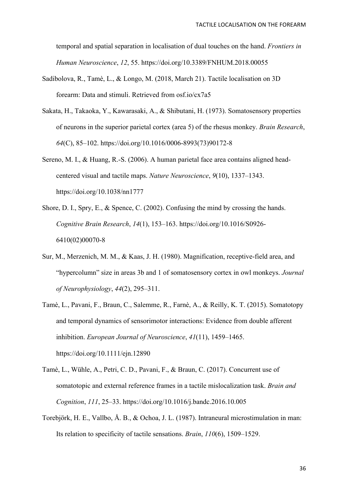temporal and spatial separation in localisation of dual touches on the hand. *Frontiers in Human Neuroscience*, *12*, 55. https://doi.org/10.3389/FNHUM.2018.00055

- Sadibolova, R., Tamè, L., & Longo, M. (2018, March 21). Tactile localisation on 3D forearm: Data and stimuli. Retrieved from osf.io/cx7a5
- Sakata, H., Takaoka, Y., Kawarasaki, A., & Shibutani, H. (1973). Somatosensory properties of neurons in the superior parietal cortex (area 5) of the rhesus monkey. *Brain Research*, *64*(C), 85–102. https://doi.org/10.1016/0006-8993(73)90172-8
- Sereno, M. I., & Huang, R.-S. (2006). A human parietal face area contains aligned headcentered visual and tactile maps. *Nature Neuroscience*, *9*(10), 1337–1343. https://doi.org/10.1038/nn1777
- Shore, D. I., Spry, E., & Spence, C. (2002). Confusing the mind by crossing the hands. *Cognitive Brain Research*, *14*(1), 153–163. https://doi.org/10.1016/S0926- 6410(02)00070-8
- Sur, M., Merzenich, M. M., & Kaas, J. H. (1980). Magnification, receptive-field area, and "hypercolumn" size in areas 3b and 1 of somatosensory cortex in owl monkeys. *Journal of Neurophysiology*, *44*(2), 295–311.
- Tamè, L., Pavani, F., Braun, C., Salemme, R., Farnè, A., & Reilly, K. T. (2015). Somatotopy and temporal dynamics of sensorimotor interactions: Evidence from double afferent inhibition. *European Journal of Neuroscience*, *41*(11), 1459–1465. https://doi.org/10.1111/ejn.12890
- Tamè, L., Wühle, A., Petri, C. D., Pavani, F., & Braun, C. (2017). Concurrent use of somatotopic and external reference frames in a tactile mislocalization task. *Brain and Cognition*, *111*, 25–33. https://doi.org/10.1016/j.bandc.2016.10.005
- Torebjörk, H. E., Vallbo, Å. B., & Ochoa, J. L. (1987). Intraneural microstimulation in man: Its relation to specificity of tactile sensations. *Brain*, *110*(6), 1509–1529.